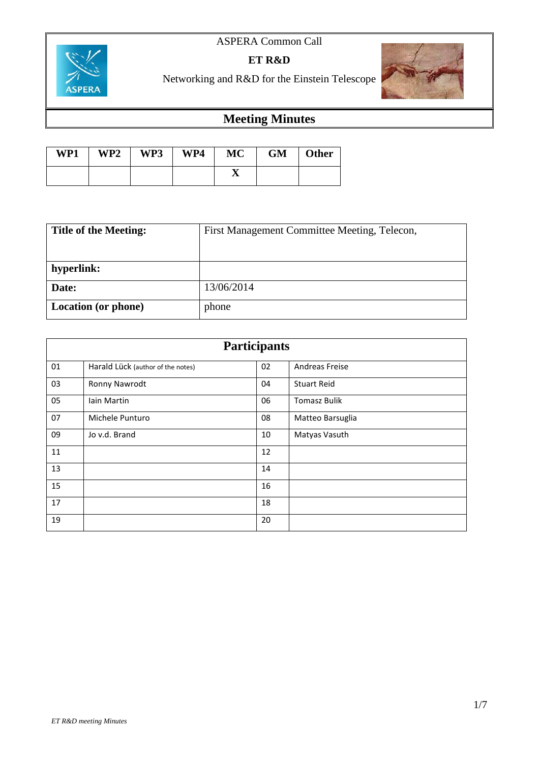#### ASPERA Common Call



**ET R&D**

Networking and R&D for the Einstein Telescope



### **Meeting Minutes**

| WP1 | WP2 | WP3 | WP4 | <b>MC</b> | <b>GM</b> | <b>Other</b> |
|-----|-----|-----|-----|-----------|-----------|--------------|
|     |     |     |     | ∡         |           |              |

| <b>Title of the Meeting:</b> | First Management Committee Meeting, Telecon, |
|------------------------------|----------------------------------------------|
|                              |                                              |
| hyperlink:                   |                                              |
| Date:                        | 13/06/2014                                   |
| <b>Location</b> (or phone)   | phone                                        |

| <b>Participants</b> |                                   |    |                     |  |
|---------------------|-----------------------------------|----|---------------------|--|
| 01                  | Harald Lück (author of the notes) | 02 | Andreas Freise      |  |
| 03                  | Ronny Nawrodt                     | 04 | <b>Stuart Reid</b>  |  |
| 05                  | Iain Martin                       | 06 | <b>Tomasz Bulik</b> |  |
| 07                  | Michele Punturo                   | 08 | Matteo Barsuglia    |  |
| 09                  | Jo v.d. Brand                     | 10 | Matyas Vasuth       |  |
| 11                  |                                   | 12 |                     |  |
| 13                  |                                   | 14 |                     |  |
| 15                  |                                   | 16 |                     |  |
| 17                  |                                   | 18 |                     |  |
| 19                  |                                   | 20 |                     |  |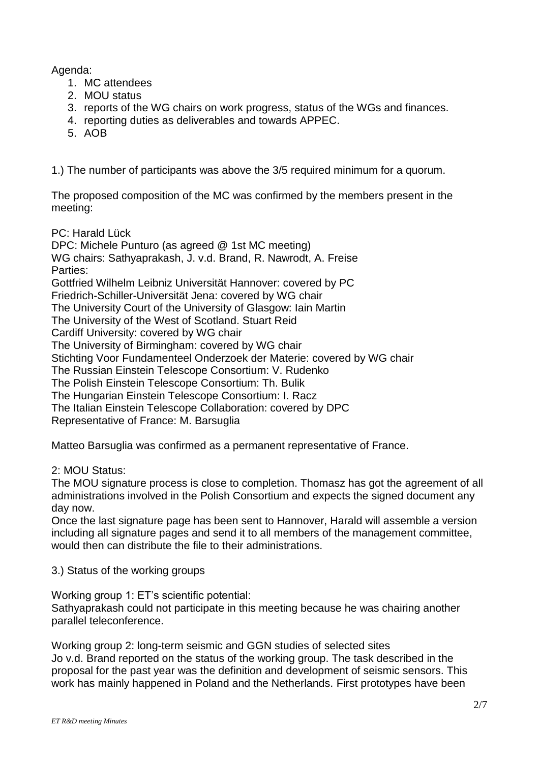Agenda:

- 1. MC attendees
- 2. MOU status
- 3. reports of the WG chairs on work progress, status of the WGs and finances.
- 4. reporting duties as deliverables and towards APPEC.
- 5. AOB

1.) The number of participants was above the 3/5 required minimum for a quorum.

The proposed composition of the MC was confirmed by the members present in the meeting:

PC: Harald Lück

DPC: Michele Punturo (as agreed @ 1st MC meeting) WG chairs: Sathyaprakash, J. v.d. Brand, R. Nawrodt, A. Freise Parties: Gottfried Wilhelm Leibniz Universität Hannover: covered by PC Friedrich-Schiller-Universität Jena: covered by WG chair The University Court of the University of Glasgow: Iain Martin The University of the West of Scotland. Stuart Reid Cardiff University: covered by WG chair The University of Birmingham: covered by WG chair Stichting Voor Fundamenteel Onderzoek der Materie: covered by WG chair The Russian Einstein Telescope Consortium: V. Rudenko The Polish Einstein Telescope Consortium: Th. Bulik The Hungarian Einstein Telescope Consortium: I. Racz The Italian Einstein Telescope Collaboration: covered by DPC Representative of France: M. Barsuglia

Matteo Barsuglia was confirmed as a permanent representative of France.

2: MOU Status:

The MOU signature process is close to completion. Thomasz has got the agreement of all administrations involved in the Polish Consortium and expects the signed document any day now.

Once the last signature page has been sent to Hannover, Harald will assemble a version including all signature pages and send it to all members of the management committee, would then can distribute the file to their administrations.

3.) Status of the working groups

Working group 1: ET's scientific potential: Sathyaprakash could not participate in this meeting because he was chairing another parallel teleconference.

Working group 2: long-term seismic and GGN studies of selected sites Jo v.d. Brand reported on the status of the working group. The task described in the proposal for the past year was the definition and development of seismic sensors. This work has mainly happened in Poland and the Netherlands. First prototypes have been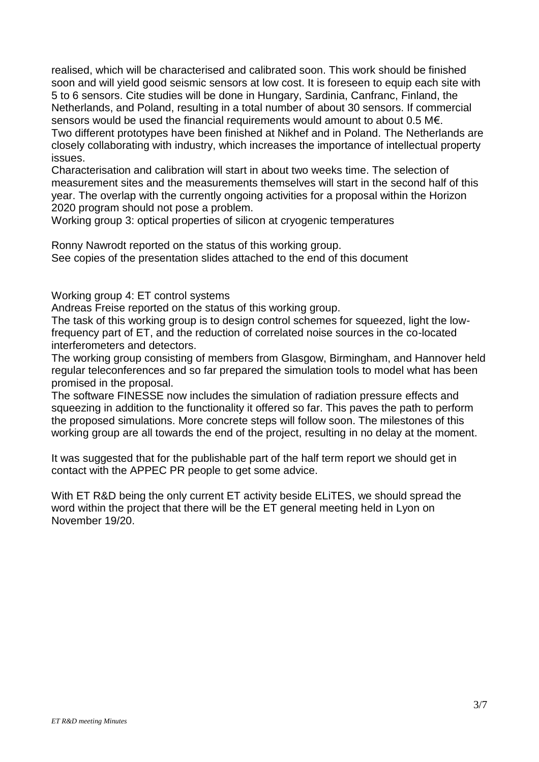realised, which will be characterised and calibrated soon. This work should be finished soon and will yield good seismic sensors at low cost. It is foreseen to equip each site with 5 to 6 sensors. Cite studies will be done in Hungary, Sardinia, Canfranc, Finland, the Netherlands, and Poland, resulting in a total number of about 30 sensors. If commercial sensors would be used the financial requirements would amount to about 0.5 M€. Two different prototypes have been finished at Nikhef and in Poland. The Netherlands are

closely collaborating with industry, which increases the importance of intellectual property issues.

Characterisation and calibration will start in about two weeks time. The selection of measurement sites and the measurements themselves will start in the second half of this year. The overlap with the currently ongoing activities for a proposal within the Horizon 2020 program should not pose a problem.

Working group 3: optical properties of silicon at cryogenic temperatures

Ronny Nawrodt reported on the status of this working group. See copies of the presentation slides attached to the end of this document

Working group 4: ET control systems

Andreas Freise reported on the status of this working group.

The task of this working group is to design control schemes for squeezed, light the lowfrequency part of ET, and the reduction of correlated noise sources in the co-located interferometers and detectors.

The working group consisting of members from Glasgow, Birmingham, and Hannover held regular teleconferences and so far prepared the simulation tools to model what has been promised in the proposal.

The software FINESSE now includes the simulation of radiation pressure effects and squeezing in addition to the functionality it offered so far. This paves the path to perform the proposed simulations. More concrete steps will follow soon. The milestones of this working group are all towards the end of the project, resulting in no delay at the moment.

It was suggested that for the publishable part of the half term report we should get in contact with the APPEC PR people to get some advice.

With ET R&D being the only current ET activity beside ELiTES, we should spread the word within the project that there will be the ET general meeting held in Lyon on November 19/20.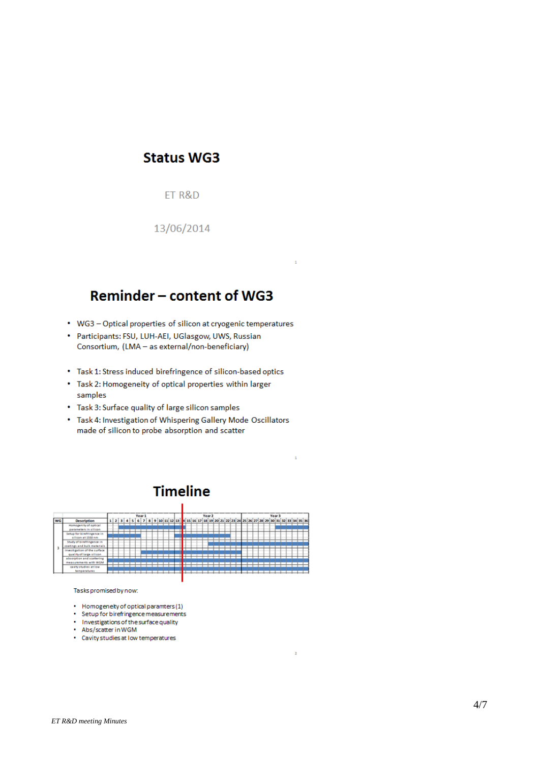#### **Status WG3**

ET R&D

13/06/2014

## Reminder - content of WG3

- WG3 Optical properties of silicon at cryogenic temperatures
- Participants: FSU, LUH-AEI, UGlasgow, UWS, Russian Consortium, (LMA - as external/non-beneficiary)
- Task 1: Stress induced birefringence of silicon-based optics
- Task 2: Homogeneity of optical properties within larger samples
- Task 3: Surface quality of large silicon samples
- Task 4: Investigation of Whispering Gallery Mode Oscillators made of silicon to probe absorption and scatter

## **Timeline**



Tasks promised by now:

- Homogeneity of optical paramters (1)
- Setup for birefringence measurements
- Investigations of the surface quality
- Abs/scatter in WGM
- Cavity studies at low temperatures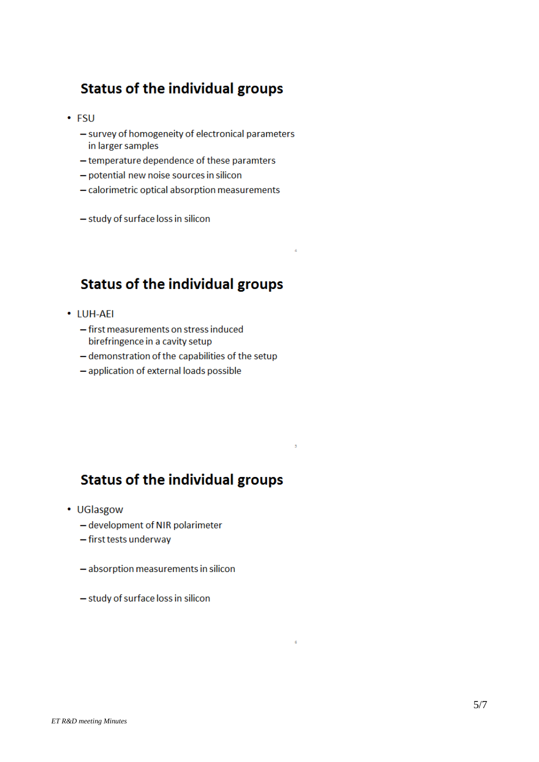#### **Status of the individual groups**

- $\cdot$  FSU
	- survey of homogeneity of electronical parameters in larger samples
	- temperature dependence of these paramters
	- potential new noise sources in silicon
	- calorimetric optical absorption measurements
	- study of surface loss in silicon

### **Status of the individual groups**

- LUH-AEI
	- first measurements on stress induced birefringence in a cavity setup
	- demonstration of the capabilities of the setup
	- application of external loads possible

#### **Status of the individual groups**

- UGlasgow
	- development of NIR polarimeter
	- first tests underway
	- absorption measurements in silicon
	- study of surface loss in silicon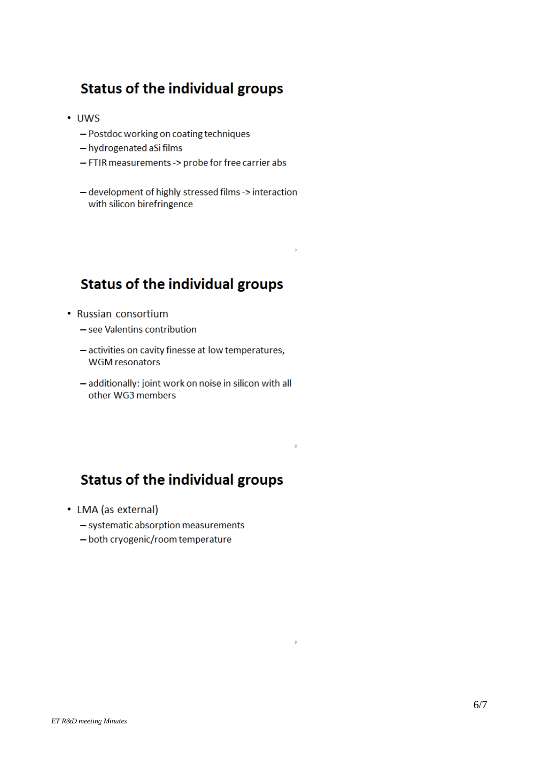#### **Status of the individual groups**

- $\cdot$  UWS
	- Postdoc working on coating techniques
	- hydrogenated aSi films
	- FTIR measurements -> probe for free carrier abs
	- development of highly stressed films -> interaction with silicon birefringence

### **Status of the individual groups**

- Russian consortium
	- see Valentins contribution
	- activities on cavity finesse at low temperatures, **WGM** resonators
	- additionally: joint work on noise in silicon with all other WG3 members

### **Status of the individual groups**

 $\overline{\mathbf{z}}$ 

9

- LMA (as external)
	- systematic absorption measurements
	- both cryogenic/room temperature